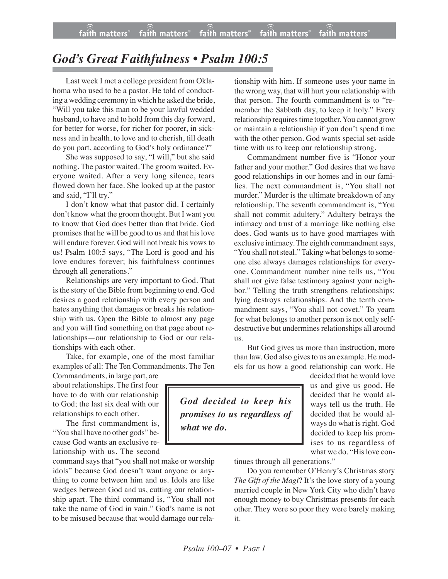## *God's Great Faithfulness • Psalm 100:5*

Last week I met a college president from Oklahoma who used to be a pastor. He told of conducting a wedding ceremony in which he asked the bride, "Will you take this man to be your lawful wedded husband, to have and to hold from this day forward, for better for worse, for richer for poorer, in sickness and in health, to love and to cherish, till death do you part, according to God's holy ordinance?"

She was supposed to say, "I will," but she said nothing. The pastor waited. The groom waited. Everyone waited. After a very long silence, tears flowed down her face. She looked up at the pastor and said, "I'll try."

I don't know what that pastor did. I certainly don't know what the groom thought. But I want you to know that God does better than that bride. God promises that he will be good to us and that his love will endure forever. God will not break his vows to us! Psalm 100:5 says, "The Lord is good and his love endures forever; his faithfulness continues through all generations."

Relationships are very important to God. That is the story of the Bible from beginning to end. God desires a good relationship with every person and hates anything that damages or breaks his relationship with us. Open the Bible to almost any page and you will find something on that page about relationships—our relationship to God or our relationships with each other.

Take, for example, one of the most familiar examples of all: The Ten Commandments. The Ten

Commandments, in large part, are about relationships. The first four have to do with our relationship to God; the last six deal with our relationships to each other.

The first commandment is, "You shall have no other gods" because God wants an exclusive relationship with us. The second

command says that "you shall not make or worship idols" because God doesn't want anyone or anything to come between him and us. Idols are like wedges between God and us, cutting our relationship apart. The third command is, "You shall not take the name of God in vain." God's name is not to be misused because that would damage our relationship with him. If someone uses your name in the wrong way, that will hurt your relationship with that person. The fourth commandment is to "remember the Sabbath day, to keep it holy." Every relationship requires time together. You cannot grow or maintain a relationship if you don't spend time with the other person. God wants special set-aside time with us to keep our relationship strong.

Commandment number five is "Honor your father and your mother." God desires that we have good relationships in our homes and in our families. The next commandment is, "You shall not murder." Murder is the ultimate breakdown of any relationship. The seventh commandment is, "You shall not commit adultery." Adultery betrays the intimacy and trust of a marriage like nothing else does. God wants us to have good marriages with exclusive intimacy. The eighth commandment says, "You shall not steal." Taking what belongs to someone else always damages relationships for everyone. Commandment number nine tells us, "You shall not give false testimony against your neighbor." Telling the truth strengthens relationships; lying destroys relationships. And the tenth commandment says, "You shall not covet." To yearn for what belongs to another person is not only selfdestructive but undermines relationships all around us.

But God gives us more than instruction, more than law. God also gives to us an example. He models for us how a good relationship can work. He

*God decided to keep his promises to us regardless of what we do.*

decided that he would love us and give us good. He decided that he would always tell us the truth. He decided that he would always do what is right. God decided to keep his promises to us regardless of what we do. "Hislove con-

tinues through all generations."

Do you remember O'Henry's Christmas story *The Gift of the Magi*? It's the love story of a young married couple in New York City who didn't have enough money to buy Christmas presents for each other. They were so poor they were barely making it.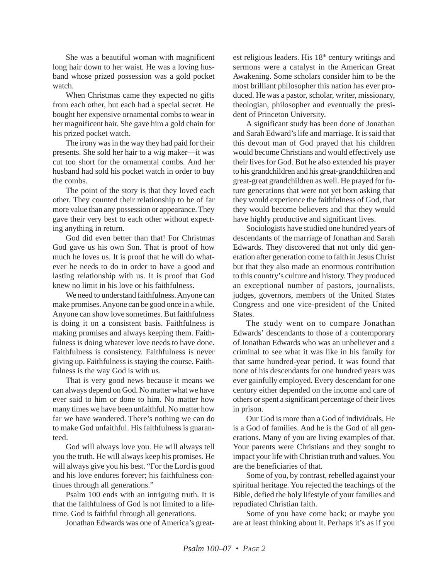She was a beautiful woman with magnificent long hair down to her waist. He was a loving husband whose prized possession was a gold pocket watch.

When Christmas came they expected no gifts from each other, but each had a special secret. He bought her expensive ornamental combs to wear in her magnificent hair. She gave him a gold chain for his prized pocket watch.

The irony was in the way they had paid for their presents. She sold her hair to a wig maker—it was cut too short for the ornamental combs. And her husband had sold his pocket watch in order to buy the combs.

The point of the story is that they loved each other. They counted their relationship to be of far more value than any possession or appearance. They gave their very best to each other without expecting anything in return.

God did even better than that! For Christmas God gave us his own Son. That is proof of how much he loves us. It is proof that he will do whatever he needs to do in order to have a good and lasting relationship with us. It is proof that God knew no limit in his love or his faithfulness.

We need to understand faithfulness. Anyone can make promises. Anyone can be good once in a while. Anyone can show love sometimes. But faithfulness is doing it on a consistent basis. Faithfulness is making promises and always keeping them. Faithfulness is doing whatever love needs to have done. Faithfulness is consistency. Faithfulness is never giving up. Faithfulness is staying the course. Faithfulness is the way God is with us.

That is very good news because it means we can always depend on God. No matter what we have ever said to him or done to him. No matter how many times we have been unfaithful. No matter how far we have wandered. There's nothing we can do to make God unfaithful. His faithfulness is guaranteed.

God will always love you. He will always tell you the truth. He will always keep his promises. He will always give you his best. "For the Lord is good and his love endures forever; his faithfulness continues through all generations."

Psalm 100 ends with an intriguing truth. It is that the faithfulness of God is not limited to a lifetime. God is faithful through all generations.

Jonathan Edwards was one of America's great-

est religious leaders. His 18th century writings and sermons were a catalyst in the American Great Awakening. Some scholars consider him to be the most brilliant philosopher this nation has ever produced. He was a pastor, scholar, writer, missionary, theologian, philosopher and eventually the president of Princeton University.

A significant study has been done of Jonathan and Sarah Edward's life and marriage. It is said that this devout man of God prayed that his children would become Christians and would effectively use their lives for God. But he also extended his prayer to his grandchildren and his great-grandchildren and great-great grandchildren as well. He prayed for future generations that were not yet born asking that they would experience the faithfulness of God, that they would become believers and that they would have highly productive and significant lives.

Sociologists have studied one hundred years of descendants of the marriage of Jonathan and Sarah Edwards. They discovered that not only did generation after generation come to faith in Jesus Christ but that they also made an enormous contribution to this country's culture and history. They produced an exceptional number of pastors, journalists, judges, governors, members of the United States Congress and one vice-president of the United States.

The study went on to compare Jonathan Edwards' descendants to those of a contemporary of Jonathan Edwards who was an unbeliever and a criminal to see what it was like in his family for that same hundred-year period. It was found that none of his descendants for one hundred years was ever gainfully employed. Every descendant for one century either depended on the income and care of others or spent a significant percentage of their lives in prison.

Our God is more than a God of individuals. He is a God of families. And he is the God of all generations. Many of you are living examples of that. Your parents were Christians and they sought to impact your life with Christian truth and values. You are the beneficiaries of that.

Some of you, by contrast, rebelled against your spiritual heritage. You rejected the teachings of the Bible, defied the holy lifestyle of your families and repudiated Christian faith.

Some of you have come back; or maybe you are at least thinking about it. Perhaps it's as if you